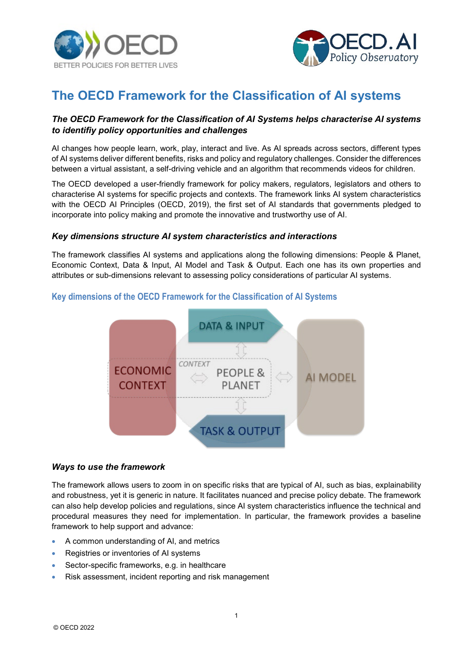



# **The OECD Framework for the Classification of AI systems**

## *The OECD Framework for the Classification of AI Systems helps characterise AI systems to identifiy policy opportunities and challenges*

AI changes how people learn, work, play, interact and live. As AI spreads across sectors, different types of AI systems deliver different benefits, risks and policy and regulatory challenges. Consider the differences between a virtual assistant, a self-driving vehicle and an algorithm that recommends videos for children.

The OECD developed a user-friendly framework for policy makers, regulators, legislators and others to characterise AI systems for specific projects and contexts. The framework links AI system characteristics with [the OECD AI Principles](https://oecd.ai/en/ai-principles) (OECD, 2019), the first set of AI standards that governments pledged to incorporate into policy making and promote the innovative and trustworthy use of AI.

#### *Key dimensions structure AI system characteristics and interactions*

The framework classifies AI systems and applications along the following dimensions: People & Planet, Economic Context, Data & Input, AI Model and Task & Output. Each one has its own properties and attributes or sub-dimensions relevant to assessing policy considerations of particular AI systems.

## **Key dimensions of the OECD Framework for the Classification of AI Systems**



#### *Ways to use the framework*

The framework allows users to zoom in on specific risks that are typical of AI, such as bias, explainability and robustness, yet it is generic in nature. It facilitates nuanced and precise policy debate. The framework can also help develop policies and regulations, since AI system characteristics influence the technical and procedural measures they need for implementation. In particular, the framework provides a baseline framework to help support and advance:

- A common understanding of AI, and metrics
- Registries or inventories of AI systems
- Sector-specific frameworks, e.g. in healthcare
- Risk assessment, incident reporting and risk management